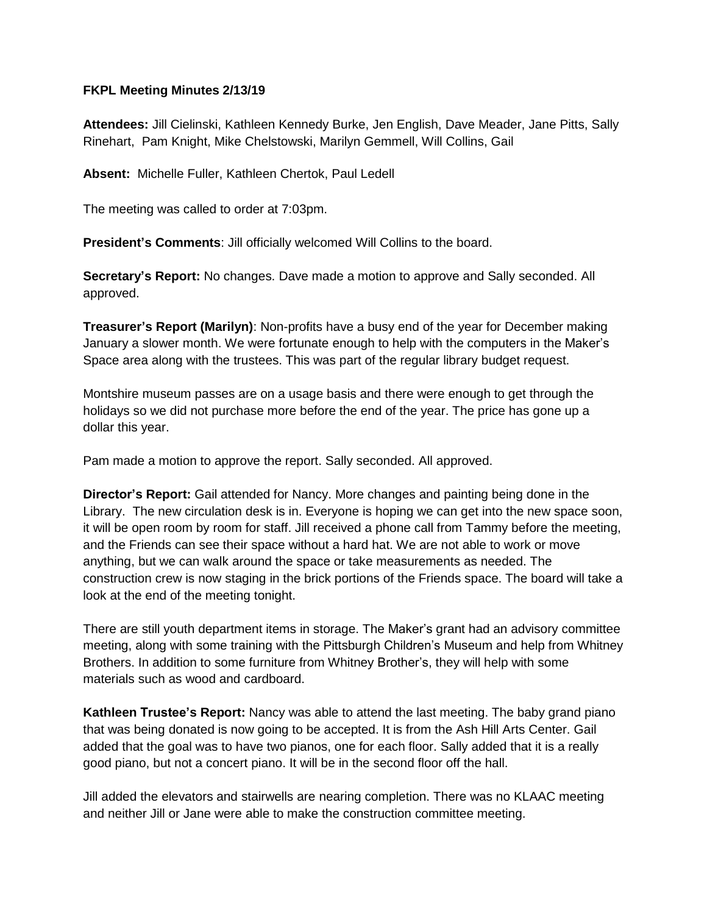## **FKPL Meeting Minutes 2/13/19**

**Attendees:** Jill Cielinski, Kathleen Kennedy Burke, Jen English, Dave Meader, Jane Pitts, Sally Rinehart, Pam Knight, Mike Chelstowski, Marilyn Gemmell, Will Collins, Gail

**Absent:** Michelle Fuller, Kathleen Chertok, Paul Ledell

The meeting was called to order at 7:03pm.

**President's Comments**: Jill officially welcomed Will Collins to the board.

**Secretary's Report:** No changes. Dave made a motion to approve and Sally seconded. All approved.

**Treasurer's Report (Marilyn)**: Non-profits have a busy end of the year for December making January a slower month. We were fortunate enough to help with the computers in the Maker's Space area along with the trustees. This was part of the regular library budget request.

Montshire museum passes are on a usage basis and there were enough to get through the holidays so we did not purchase more before the end of the year. The price has gone up a dollar this year.

Pam made a motion to approve the report. Sally seconded. All approved.

**Director's Report:** Gail attended for Nancy. More changes and painting being done in the Library. The new circulation desk is in. Everyone is hoping we can get into the new space soon, it will be open room by room for staff. Jill received a phone call from Tammy before the meeting, and the Friends can see their space without a hard hat. We are not able to work or move anything, but we can walk around the space or take measurements as needed. The construction crew is now staging in the brick portions of the Friends space. The board will take a look at the end of the meeting tonight.

There are still youth department items in storage. The Maker's grant had an advisory committee meeting, along with some training with the Pittsburgh Children's Museum and help from Whitney Brothers. In addition to some furniture from Whitney Brother's, they will help with some materials such as wood and cardboard.

**Kathleen Trustee's Report:** Nancy was able to attend the last meeting. The baby grand piano that was being donated is now going to be accepted. It is from the Ash Hill Arts Center. Gail added that the goal was to have two pianos, one for each floor. Sally added that it is a really good piano, but not a concert piano. It will be in the second floor off the hall.

Jill added the elevators and stairwells are nearing completion. There was no KLAAC meeting and neither Jill or Jane were able to make the construction committee meeting.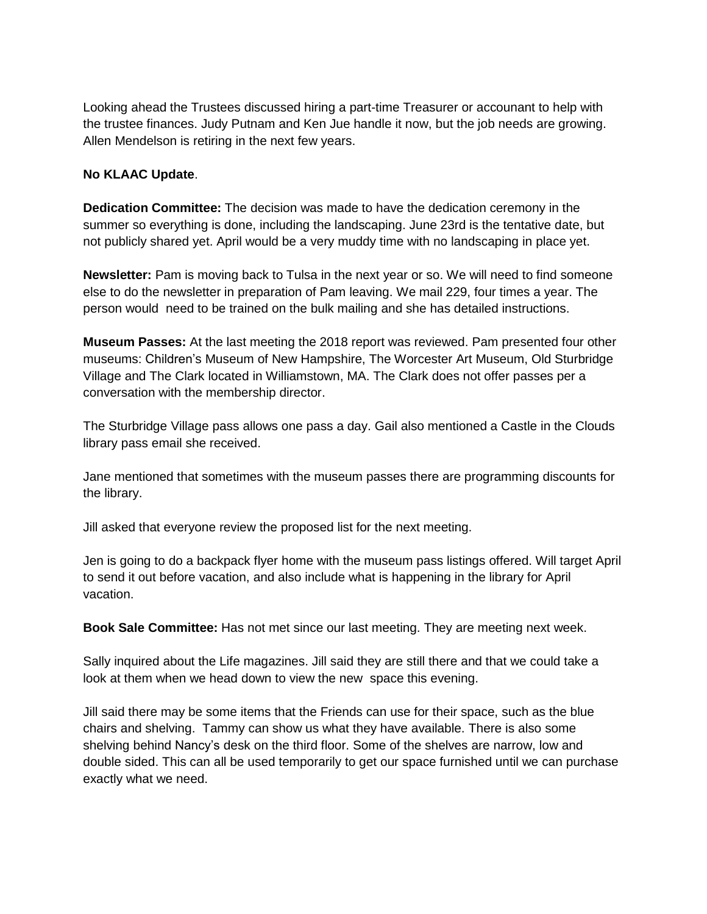Looking ahead the Trustees discussed hiring a part-time Treasurer or accounant to help with the trustee finances. Judy Putnam and Ken Jue handle it now, but the job needs are growing. Allen Mendelson is retiring in the next few years.

## **No KLAAC Update**.

**Dedication Committee:** The decision was made to have the dedication ceremony in the summer so everything is done, including the landscaping. June 23rd is the tentative date, but not publicly shared yet. April would be a very muddy time with no landscaping in place yet.

**Newsletter:** Pam is moving back to Tulsa in the next year or so. We will need to find someone else to do the newsletter in preparation of Pam leaving. We mail 229, four times a year. The person would need to be trained on the bulk mailing and she has detailed instructions.

**Museum Passes:** At the last meeting the 2018 report was reviewed. Pam presented four other museums: Children's Museum of New Hampshire, The Worcester Art Museum, Old Sturbridge Village and The Clark located in Williamstown, MA. The Clark does not offer passes per a conversation with the membership director.

The Sturbridge Village pass allows one pass a day. Gail also mentioned a Castle in the Clouds library pass email she received.

Jane mentioned that sometimes with the museum passes there are programming discounts for the library.

Jill asked that everyone review the proposed list for the next meeting.

Jen is going to do a backpack flyer home with the museum pass listings offered. Will target April to send it out before vacation, and also include what is happening in the library for April vacation.

**Book Sale Committee:** Has not met since our last meeting. They are meeting next week.

Sally inquired about the Life magazines. Jill said they are still there and that we could take a look at them when we head down to view the new space this evening.

Jill said there may be some items that the Friends can use for their space, such as the blue chairs and shelving. Tammy can show us what they have available. There is also some shelving behind Nancy's desk on the third floor. Some of the shelves are narrow, low and double sided. This can all be used temporarily to get our space furnished until we can purchase exactly what we need.